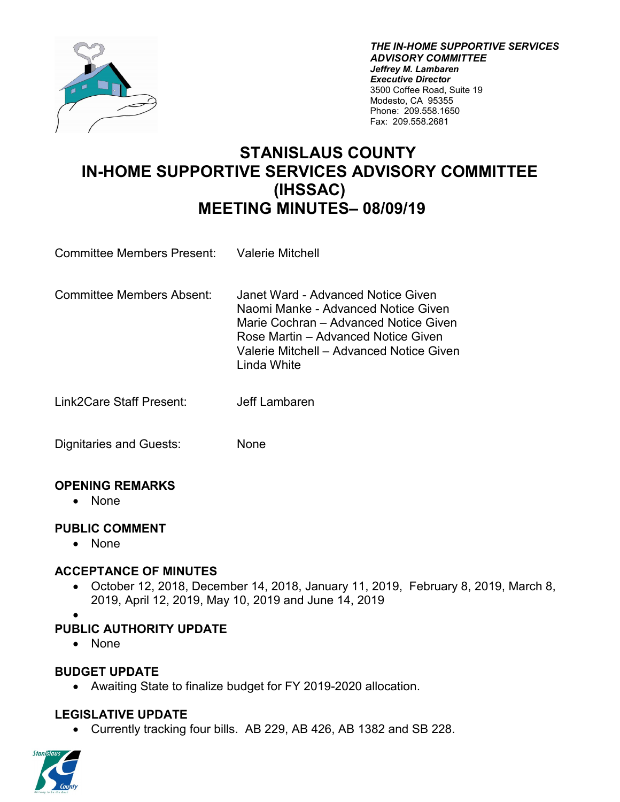

 Phone: 209.558.1650 *THE IN-HOME SUPPORTIVE SERVICES ADVISORY COMMITTEE Jeffrey M. Lambaren Executive Director*  3500 Coffee Road, Suite 19 Modesto, CA 95355 Fax: 209.558.2681

# **MEETING MINUTES– 08/09/19 STANISLAUS COUNTY IN-HOME SUPPORTIVE SERVICES ADVISORY COMMITTEE (IHSSAC)**

| <b>Committee Members Present:</b> | <b>Valerie Mitchell</b> |
|-----------------------------------|-------------------------|
|-----------------------------------|-------------------------|

- Marie Cochran Advanced Notice Given **Linda White** Committee Members Absent: Janet Ward - Advanced Notice Given Naomi Manke - Advanced Notice Given Rose Martin – Advanced Notice Given Valerie Mitchell – Advanced Notice Given
- Linda White Link2Care Staff Present: Jeff Lambaren

Dignitaries and Guests: None

### **OPENING REMARKS**

• None

#### **PUBLIC COMMENT**

• None

#### **ACCEPTANCE OF MINUTES**

- 2019, April 12, 2019, May 10, 2019 and June 14, 2019 • October 12, 2018, December 14, 2018, January 11, 2019, February 8, 2019, March 8,
- •

## **PUBLIC AUTHORITY UPDATE**

• None

### **BUDGET UPDATE**

• Awaiting State to finalize budget for FY 2019-2020 allocation.

### **LEGISLATIVE UPDATE**

• Currently tracking four bills. AB 229, AB 426, AB 1382 and SB 228.